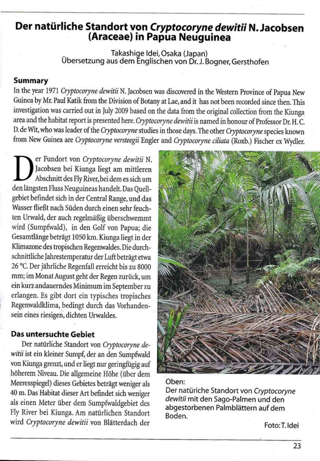# Der natürliche Standort von Cryptocoryne dewitii N. Jacobsen<br>(Araceae) in Papua Neuguinea

Takashige Idei, Osaka (Japan)<br>Übersetzung aus dem Englischen von Dr. J. Bogner, Gersthofen

# **Summary**

In the year 1971 Cryptocoryne dewitii N. Jacobsen was discovered in the Western Province of Papua New Guinea by Mr. Paul Katik from the Division of Botany at Lae, and it has not been recorded since then. This investigation was carried out in July 2009 based on the data from the original collection from the Kiunga area and the habitat report is presented here. Cryptocoryne dewitii is named in honour of Professor Dr. H.C. D. de Wit, who was leader of the Cryptocoryne studies in those days. The other Cryptocoryne species known from New Guinea are Cryptocoryne versteegii Engler and Cryptocoryne ciliata (Roxb.) Fischer ex Wydler.

er Fundort von Cryptocoryne dewitii N. Jacobsen bei Kiunga liegt am mittleren Abschnitt des Fly River, bei dem es sich um den längsten Fluss Neuguineas handelt. Das Quellgebiet befindet sich in der Central Range, und das Wasser fließt nach Süden durch einen sehr feuchten Urwald, der auch regelmäßig überschwemmt wird (Sumpfwald), in den Golf von Papua; die Gesamtlänge beträgt 1050 km. Kiunga liegt in der Klimazone des tropischen Regenwaldes. Die durchschnittliche Jahrestemperatur der Luft beträgt etwa 26 °C. Der jährliche Regenfall erreicht bis zu 8000 mm; im Monat August geht der Regen zurück, um ein kurz andauerndes Minimum im September zu erlangen. Es gibt dort ein typisches tropisches Regenwaldklima, bedingt durch das Vorhandensein eines riesigen, dichten Urwaldes.

### Das untersuchte Gebiet



Der natürliche Standort von Cryptocoryne dewitii ist ein kleiner Sumpf, der an den Sumpfwald von Kiunga grenzt, und er liegt nur geringfügig auf höherem Niveau. Die allgemeine Höhe (über dem Meeresspiegel) dieses Gebietes beträgt weniger als 40 m. Das Habitat dieser Art befindet sich weniger als einen Meter über dem Sumpfwaldgebiet des Fly River bei Kiunga. Am natürlichen Standort wird Cryptocoryne dewitii von Blätterdach der

### Oben:

Der natüriche Standort von Cryptocoryne dewitii mit den Sago-Palmen und den abgestorbenen Palmblättern auf dem Boden.

Foto: T. Idei

23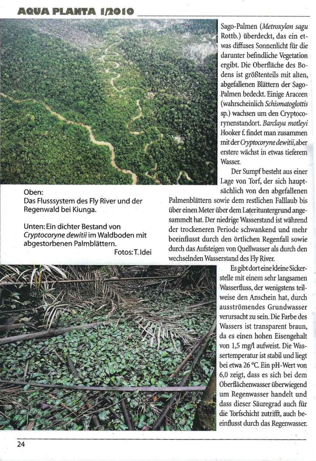# **AQUA PLANTA 1/2010**



### Oben:

24

Das Flusssystem des Fly River und der Regenwald bei Kiunga.

Unten: Ein dichter Bestand von Cryptocoryne dewitii im Waldboden mit abgestorbenen Palmblättern.

Fotos: T. Idei

Sago-Palmen (Metroxylon sagu Rottb.) überdeckt, das ein etwas diffuses Sonnenlicht für die darunter befindliche Vegetation ergibt. Die Oberfläche des Bodens ist größtenteils mit alten, abgefallenen Blättern der Sago-Palmen bedeckt. Einige Araceen (wahrscheinlich Schismatoglottis sp.) wachsen um den Cryptocorynenstandort. Barclaya motleyi Hooker f. findet man zusammen mit der Cryptocoryne dewitii, aber erstere wächst in etwas tieferem Wasser.

Der Sumpf besteht aus einer Lage von Torf, der sich hauptsächlich von den abgefallenen

Palmenblättern sowie dem restlichen Falllaub bis über einen Meter über dem Laterituntergrund angesammelt hat. Der niedrige Wasserstand ist während der trockeneren Periode schwankend und mehr beeinflusst durch den örtlichen Regenfall sowie durch das Aufsteigen von Quellwasser als durch den wechselnden Wasserstand des Fly River.

> Es gibt dort eine kleine Sickerstelle mit einem sehr langsamen Wasserfluss, der wenigstens teilweise den Anschein hat, durch ausströmendes Grundwasser verursacht zu sein. Die Farbe des Wassers ist transparent braun, da es einen hohen Eisengehalt von 1,5 mg/l aufweist. Die Wassertemperatur ist stabil und liegt bei etwa 26 °C. Ein pH-Wert von 6,0 zeigt, dass es sich bei dem Oberflächenwasser überwiegend um Regenwasser handelt und dass dieser Säuregrad auch für die Torfschicht zutrifft, auch beeinflusst durch das Regenwasser.

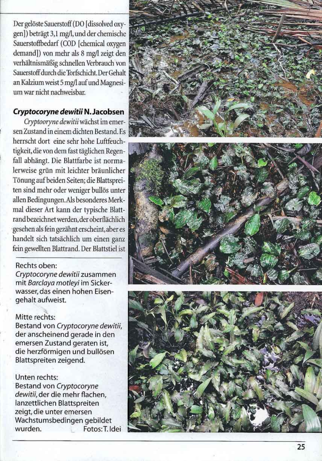Der gelöste Sauerstoff (DO [dissolved oxygen]) beträgt 3,1 mg/l, und der chemische Sauerstoffbedarf (COD [chemical oxygen demand]) von mehr als 8 mg/l zeigt den verhältnismäßig schnellen Verbrauch von Sauerstoff durch die Torfschicht. Der Gehalt an Kalzium weist 5 mg/l auf und Magnesium war nicht nachweisbar.

# Cryptocoryne dewitii N. Jacobsen

Cryptooryne dewitii wächst im emersen Zustand in einem dichten Bestand. Es herrscht dort eine sehr hohe Luftfeuchtigkeit, die von dem fast täglichen Regenfall abhängt. Die Blattfarbe ist normalerweise grün mit leichter bräunlicher Tönung auf beiden Seiten; die Blattspreiten sind mehr oder weniger bullös unter allen Bedingungen. Als besonderes Merkmal dieser Art kann der typische Blattrand bezeichnet werden, der oberflächlich gesehen als fein gezähnt erscheint, aber es handelt sich tatsächlich um einen ganz fein gewellten Blattrand. Der Blattstiel ist

# Rechts oben:

Cryptocoryne dewitii zusammen mit Barclaya motleyi im Sickerwasser, das einen hohen Eisengehalt aufweist.

# Mitte rechts:

Bestand von Cryptocoryne dewitii, der anscheinend gerade in den







emersen Zustand geraten ist, die herzförmigen und bullösen Blattspreiten zeigend.

Unten rechts: Bestand von Cryptocoryne dewitii, der die mehr flachen, lanzettlichen Blattspreiten zeigt, die unter emersen Wachstumsbedingen gebildet Fotos: T. Idei wurden.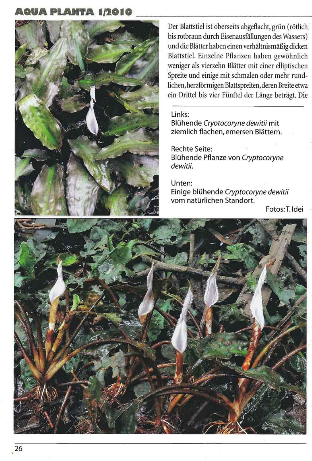# **AQUA PLANTA 1/2010**



Der Blattstiel ist oberseits abgeflacht, grün (rötlich bis rotbraun durch Eisenausfällungen des Wassers) und die Blätter haben einen verhältnismäßig dicken Blattstiel. Einzelne Pflanzen haben gewöhnlich weniger als vierzehn Blätter mit einer elliptischen Spreite und einige mit schmalen oder mehr rundlichen, herzförmigen Blattspreiten, deren Breite etwa ein Drittel bis vier Fünftel der Länge beträgt. Die

Links:

Blühende Cryotocoryne dewitii mit ziemlich flachen, emersen Blättern.

# Rechte Seite:

Blühende Pflanze von Cryptocoryne dewitii.

# Unten:

Einige blühende Cryptocoryne dewitii vom natürlichen Standort.

# Fotos: T. Idei



26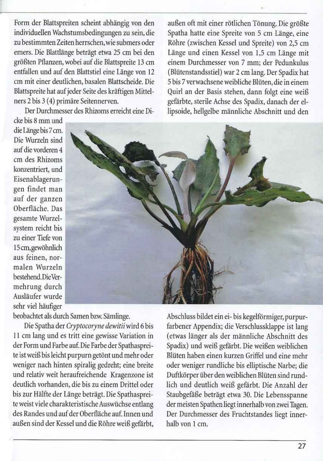Form der Blattspreiten scheint abhängig von den individuellen Wachstumsbedingungen zu sein, die zu bestimmten Zeiten herrschen, wie submers oder emers. Die Blattlänge beträgt etwa 25 cm bei den größten Pflanzen, wobei auf die Blattspreite 13 cm entfallen und auf den Blattstiel eine Länge von 12 cm mit einer deutlichen, basalen Blattscheide. Die Blattspreite hat auf jeder Seite des kräftigen Mittelners 2 bis 3 (4) primäre Seitennerven.

Der Durchmesser des Rhizoms erreicht eine Di-

außen oft mit einer rötlichen Tönung. Die größte Spatha hatte eine Spreite von 5 cm Länge, eine Röhre (zwischen Kessel und Spreite) von 2,5 cm Länge und einen Kessel von 1,5 cm Länge mit einem Durchmesser von 7 mm; der Pedunkulus (Blütenstandsstiel) war 2 cm lang. Der Spadix hat 5 bis 7 verwachsene weibliche Blüten, die in einem Quirl an der Basis stehen, dann folgt eine weiß gefärbte, sterile Achse des Spadix, danach der ellipsoide, hellgelbe männliche Abschnitt und den

cke bis 8 mm und die Länge bis 7 cm. Die Wurzeln sind auf die vorderen 4 cm des Rhizoms konzentriert, und Eisenablagerungen findet man auf der ganzen Oberfläche. Das gesamte Wurzelsystem reicht bis zu einer Tiefe von 15 cm, gewöhnlich aus feinen, normalen Wurzeln bestehend. Die Vermehrung durch Ausläufer wurde sehr viel häufiger



beobachtet als durch Samen bzw. Sämlinge.

Die Spatha der Cryptocoryne dewitii wird 6 bis 11 cm lang und es tritt eine gewisse Variation in der Form und Farbe auf. Die Farbe der Spathaspreite ist weiß bis leicht purpurn getönt und mehr oder weniger nach hinten spiralig gedreht; eine breite und relativ weit heraufreichende Kragenzone ist deutlich vorhanden, die bis zu einem Drittel oder bis zur Hälfte der Länge beträgt. Die Spathaspreite weist viele charakteristische Auswüchse entlang des Randes und auf der Oberfläche auf. Innen und außen sind der Kessel und die Röhre weiß gefärbt,

Abschluss bildet ein ei- bis kegelförmiger, purpurfarbener Appendix; die Verschlussklappe ist lang (etwas länger als der männliche Abschnitt des Spadix) und weiß gefärbt. Die weißen weiblichen Blüten haben einen kurzen Griffel und eine mehr oder weniger rundliche bis elliptische Narbe; die Duftkörper über den weiblichen Blüten sind rundlich und deutlich weiß gefärbt. Die Anzahl der Staubgefäße beträgt etwa 30. Die Lebensspanne der meisten Spathen liegt innerhalb von zwei Tagen. Der Durchmesser des Fruchtstandes liegt innerhalb von 1 cm.

27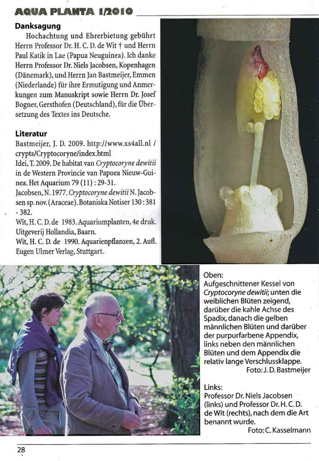# AQUA PLANTA 1/2010

# Danksagung

Hochachtung und Ehrerbietung gebührt Herrn Professor Dr. H. C. D. de Wit + und Herrn Paul Katik in Lae (Papua Neuguinea). Ich danke Herrn Professor Dr. Niels Jacobsen, Kopenhagen (Dänemark), und Herrn Jan Bastmeijer, Emmen (Niederlande) für ihre Ermutigung und Anmerkungen zum Manuskript sowie Herrn Dr. Josef Bogner, Gersthofen (Deutschland), für die Übersetzung des Textes ins Deutsche.

# Literatur

Bastmeijer, J. D. 2009. http://www.xs4all.nl / crypts/Cryptocoryne/index.html

Idei, T. 2009. De habitat van Cryptocoryne dewitii in de Western Provincie van Papoea Nieuw-Guinea. Het Aquarium 79 (11): 29-31.

Jacobsen, N. 1977. Cryptocoryne dewitii N. Jacobsen sp. nov. (Araceae). Botaniska Notiser 130:381  $-382.$ 

Wit, H. C. D. de 1983. Aquariumplanten, 4e druk. Uitgeverij Hollandia, Baarn.

Wit, H. C. D. de 1990. Aquarienpflanzen, 2. Aufl. Eugen Ulmer Verlag, Stuttgart.





# Oben:

Aufgeschnittener Kessel von Cryptocoryne dewitii; unten die weiblichen Blüten zeigend, darüber die kahle Achse des Spadix, danach die gelben männlichen Blüten und darüber der purpurfarbene Appendix, links neben den männlichen Blüten und dem Appendix die relativ lange Verschlussklappe. Foto: J.D. Bastmeijer

Links: Professor Dr. Niels Jacobsen (links) und Professor Dr. H. C. D. de Wit (rechts), nach dem die Art benannt wurde.

Foto: C. Kasselmann

28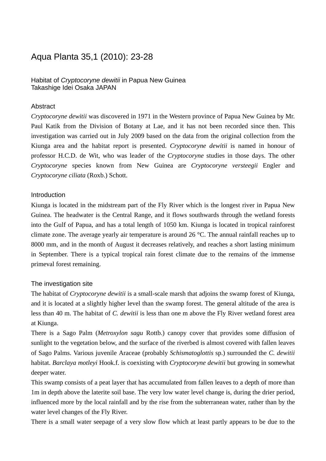### Aqua Planta 35,1 (2010): 23-28

### Habitat of *Cryptocoryne dewitii* in Papua New Guinea Takashige Idei Osaka JAPAN

### **Abstract**

*Cryptocoryne dewitii* was discovered in 1971 in the Western province of Papua New Guinea by Mr. Paul Katik from the Division of Botany at Lae, and it has not been recorded since then. This investigation was carried out in July 2009 based on the data from the original collection from the Kiunga area and the habitat report is presented. *Cryptocoryne dewitii* is named in honour of professor H.C.D. de Wit, who was leader of the *Cryptocoryne* studies in those days. The other *Cryptocoryne* species known from New Guinea are *Cryptocoryne versteegii* Engler and *Cryptocoryne ciliata* (Roxb.) Schott.

### Introduction

Kiunga is located in the midstream part of the Fly River which is the longest river in Papua New Guinea. The headwater is the Central Range, and it flows southwards through the wetland forests into the Gulf of Papua, and has a total length of 1050 km. Kiunga is located in tropical rainforest climate zone. The average yearly air temperature is around 26 °C. The annual rainfall reaches up to 8000 mm, and in the month of August it decreases relatively, and reaches a short lasting minimum in September. There is a typical tropical rain forest climate due to the remains of the immense primeval forest remaining.

### The investigation site

The habitat of *Cryptocoryne dewitii* is a small-scale marsh that adjoins the swamp forest of Kiunga, and it is located at a slightly higher level than the swamp forest. The general altitude of the area is less than 40 m. The habitat of *C. dewitii* is less than one m above the Fly River wetland forest area at Kiunga.

There is a Sago Palm (*Metroxylon sagu* Rottb.) canopy cover that provides some diffusion of sunlight to the vegetation below, and the surface of the riverbed is almost covered with fallen leaves of Sago Palms. Various juvenile Araceae (probably *Schismatoglottis* sp.) surrounded the *C. dewitii* habitat. *Barclaya motleyi* Hook.f. is coexisting with *Cryptocoryne dewitii* but growing in somewhat deeper water.

This swamp consists of a peat layer that has accumulated from fallen leaves to a depth of more than 1m in depth above the laterite soil base. The very low water level change is, during the drier period, influenced more by the local rainfall and by the rise from the subterranean water, rather than by the water level changes of the Fly River.

There is a small water seepage of a very slow flow which at least partly appears to be due to the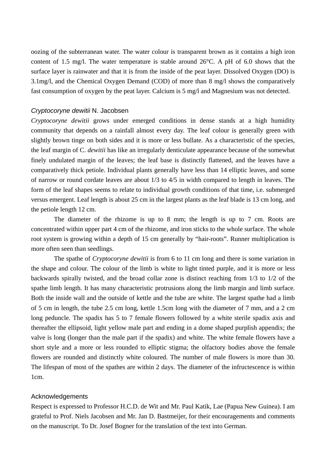oozing of the subterranean water. The water colour is transparent brown as it contains a high iron content of 1.5 mg/l. The water temperature is stable around 26°C. A pH of 6.0 shows that the surface layer is rainwater and that it is from the inside of the peat layer. Dissolved Oxygen (DO) is 3.1mg/l, and the Chemical Oxygen Demand (COD) of more than 8 mg/l shows the comparatively fast consumption of oxygen by the peat layer. Calcium is 5 mg/l and Magnesium was not detected.

#### *Cryptocoryne dewitii* N. Jacobsen

*Cryptocoryne dewitii* grows under emerged conditions in dense stands at a high humidity community that depends on a rainfall almost every day. The leaf colour is generally green with slightly brown tinge on both sides and it is more or less bullate. As a characteristic of the species, the leaf margin of C. *dewitii* has like an irregularly denticulate appearance because of the somewhat finely undulated margin of the leaves; the leaf base is distinctly flattened, and the leaves have a comparatively thick petiole. Individual plants generally have less than 14 elliptic leaves, and some of narrow or round cordate leaves are about 1/3 to 4/5 in width compared to length in leaves. The form of the leaf shapes seems to relate to individual growth conditions of that time, i.e. submerged versus emergent. Leaf length is about 25 cm in the largest plants as the leaf blade is 13 cm long, and the petiole length 12 cm.

The diameter of the rhizome is up to 8 mm; the length is up to 7 cm. Roots are concentrated within upper part 4 cm of the rhizome, and iron sticks to the whole surface. The whole root system is growing within a depth of 15 cm generally by "hair-roots". Runner multiplication is more often seen than seedlings.

 The spathe of *Cryptocoryne dewitii* is from 6 to 11 cm long and there is some variation in the shape and colour. The colour of the limb is white to light tinted purple, and it is more or less backwards spirally twisted, and the broad collar zone is distinct reaching from 1/3 to 1/2 of the spathe limb length. It has many characteristic protrusions along the limb margin and limb surface. Both the inside wall and the outside of kettle and the tube are white. The largest spathe had a limb of 5 cm in length, the tube 2.5 cm long, kettle 1.5cm long with the diameter of 7 mm, and a 2 cm long peduncle. The spadix has 5 to 7 female flowers followed by a white sterile spadix axis and thereafter the ellipsoid, light yellow male part and ending in a dome shaped purplish appendix; the valve is long (longer than the male part if the spadix) and white. The white female flowers have a short style and a more or less rounded to elliptic stigma; the olfactory bodies above the female flowers are rounded and distinctly white coloured. The number of male flowers is more than 30. The lifespan of most of the spathes are within 2 days. The diameter of the infructescence is within 1cm.

#### Acknowledgements

Respect is expressed to Professor H.C.D. de Wit and Mr. Paul Katik, Lae (Papua New Guinea). I am grateful to Prof. Niels Jacobsen and Mr. Jan D. Bastmeijer, for their encouragements and comments on the manuscript. To Dr. Josef Bogner for the translation of the text into German.